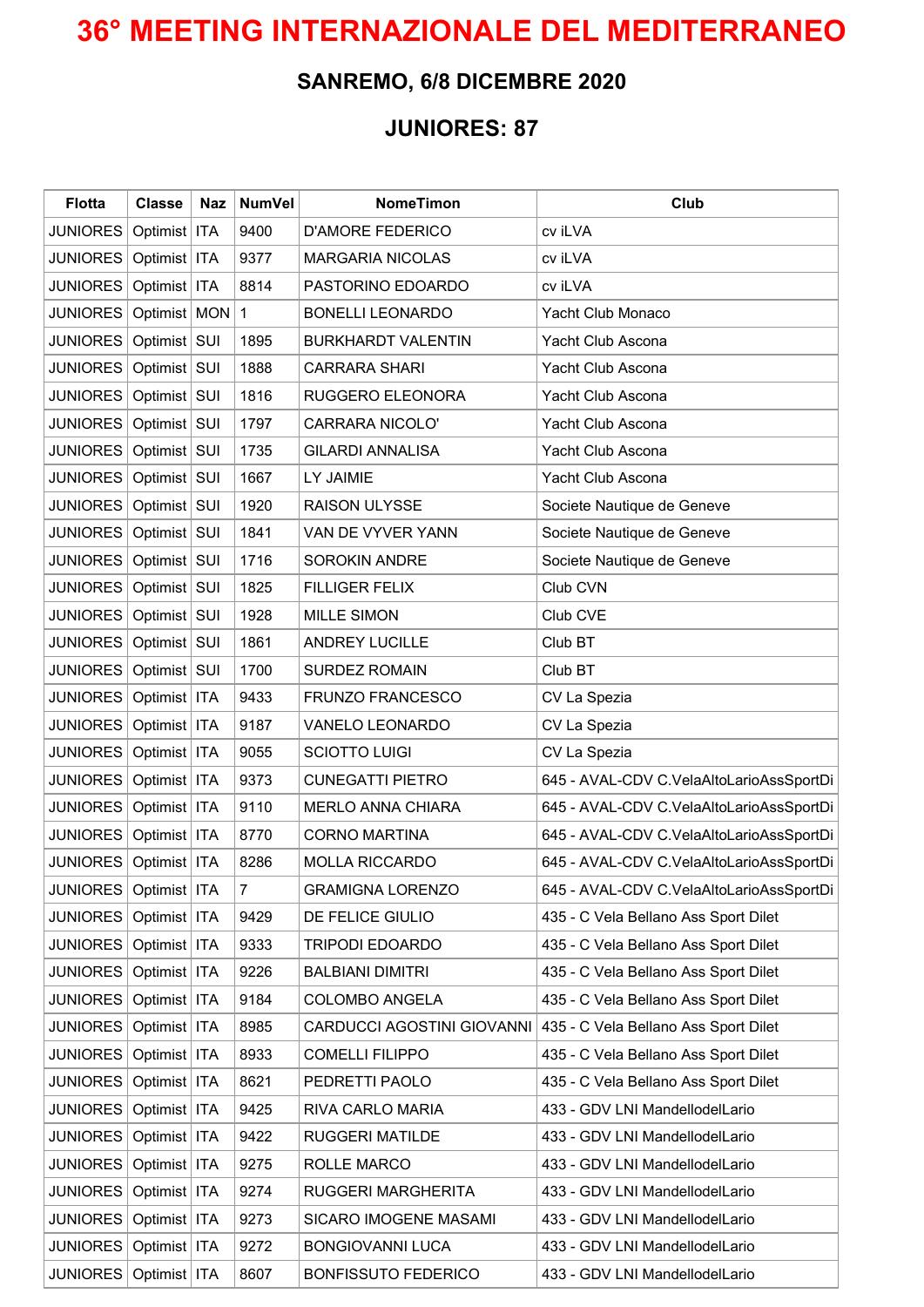## **36° MEETING INTERNAZIONALE DEL MEDITERRANEO**

## **SANREMO, 6/8 DICEMBRE 2020**

## **JUNIORES: 87**

| <b>Flotta</b>             | <b>Classe</b>  | <b>Naz</b> | <b>NumVel</b> | <b>NomeTimon</b>           | Club                                     |
|---------------------------|----------------|------------|---------------|----------------------------|------------------------------------------|
| <b>JUNIORES</b>           | Optimist       | <b>ITA</b> | 9400          | <b>D'AMORE FEDERICO</b>    | cv iLVA                                  |
| <b>JUNIORES</b>           | Optimist       | <b>ITA</b> | 9377          | <b>MARGARIA NICOLAS</b>    | cv iLVA                                  |
| <b>JUNIORES</b>           | Optimist       | <b>ITA</b> | 8814          | PASTORINO EDOARDO          | cv iLVA                                  |
| JUNIORES                  | Optimist   MON |            | 1             | <b>BONELLI LEONARDO</b>    | Yacht Club Monaco                        |
| <b>JUNIORES</b>           | Optimist       | SUI        | 1895          | <b>BURKHARDT VALENTIN</b>  | Yacht Club Ascona                        |
| <b>JUNIORES</b>           | Optimist   SUI |            | 1888          | <b>CARRARA SHARI</b>       | Yacht Club Ascona                        |
| <b>JUNIORES</b>           | Optimist   SUI |            | 1816          | RUGGERO ELEONORA           | Yacht Club Ascona                        |
| <b>JUNIORES</b>           | Optimist   SUI |            | 1797          | <b>CARRARA NICOLO'</b>     | Yacht Club Ascona                        |
| <b>JUNIORES</b>           | Optimist   SUI |            | 1735          | <b>GILARDI ANNALISA</b>    | Yacht Club Ascona                        |
| <b>JUNIORES</b>           | Optimist   SUI |            | 1667          | LY JAIMIE                  | Yacht Club Ascona                        |
| <b>JUNIORES</b>           | Optimist       | SUI        | 1920          | <b>RAISON ULYSSE</b>       | Societe Nautique de Geneve               |
| JUNIORES                  | Optimist   SUI |            | 1841          | VAN DE VYVER YANN          | Societe Nautique de Geneve               |
| JUNIORES                  | Optimist   SUI |            | 1716          | <b>SOROKIN ANDRE</b>       | Societe Nautique de Geneve               |
| JUNIORES                  | Optimist SUI   |            | 1825          | <b>FILLIGER FELIX</b>      | Club CVN                                 |
| <b>JUNIORES</b>           | Optimist   SUI |            | 1928          | <b>MILLE SIMON</b>         | Club CVE                                 |
| JUNIORES                  | Optimist   SUI |            | 1861          | <b>ANDREY LUCILLE</b>      | Club BT                                  |
| JUNIORES                  | Optimist   SUI |            | 1700          | <b>SURDEZ ROMAIN</b>       | Club BT                                  |
| <b>JUNIORES</b>           | Optimist   ITA |            | 9433          | FRUNZO FRANCESCO           | CV La Spezia                             |
| <b>JUNIORES</b>           | Optimist       | <b>ITA</b> | 9187          | VANELO LEONARDO            | CV La Spezia                             |
| <b>JUNIORES</b>           | Optimist       | <b>ITA</b> | 9055          | <b>SCIOTTO LUIGI</b>       | CV La Spezia                             |
| <b>JUNIORES</b>           | Optimist       | <b>ITA</b> | 9373          | <b>CUNEGATTI PIETRO</b>    | 645 - AVAL-CDV C.VelaAltoLarioAssSportDi |
| <b>JUNIORES</b>           | Optimist       | <b>ITA</b> | 9110          | <b>MERLO ANNA CHIARA</b>   | 645 - AVAL-CDV C.VelaAltoLarioAssSportDi |
| JUNIORES                  | Optimist   ITA |            | 8770          | <b>CORNO MARTINA</b>       | 645 - AVAL-CDV C.VelaAltoLarioAssSportDi |
| <b>JUNIORES</b>           | Optimist   ITA |            | 8286          | <b>MOLLA RICCARDO</b>      | 645 - AVAL-CDV C.VelaAltoLarioAssSportDi |
| JUNIORES   Optimist   ITA |                |            | 7             | <b>GRAMIGNA LORENZO</b>    | 645 - AVAL-CDV C.VelaAltoLarioAssSportDi |
| JUNIORES                  | Optimist   ITA |            | 9429          | DE FELICE GIULIO           | 435 - C Vela Bellano Ass Sport Dilet     |
| <b>JUNIORES</b>           | Optimist   ITA |            | 9333          | <b>TRIPODI EDOARDO</b>     | 435 - C Vela Bellano Ass Sport Dilet     |
| JUNIORES                  | Optimist   ITA |            | 9226          | <b>BALBIANI DIMITRI</b>    | 435 - C Vela Bellano Ass Sport Dilet     |
| <b>JUNIORES</b>           | Optimist   ITA |            | 9184          | <b>COLOMBO ANGELA</b>      | 435 - C Vela Bellano Ass Sport Dilet     |
| JUNIORES   Optimist   ITA |                |            | 8985          | CARDUCCI AGOSTINI GIOVANNI | 435 - C Vela Bellano Ass Sport Dilet     |
| JUNIORES                  | Optimist   ITA |            | 8933          | <b>COMELLI FILIPPO</b>     | 435 - C Vela Bellano Ass Sport Dilet     |
| JUNIORES                  | Optimist   ITA |            | 8621          | PEDRETTI PAOLO             | 435 - C Vela Bellano Ass Sport Dilet     |
| JUNIORES                  | Optimist   ITA |            | 9425          | RIVA CARLO MARIA           | 433 - GDV LNI MandellodelLario           |
| <b>JUNIORES</b>           | Optimist   ITA |            | 9422          | RUGGERI MATILDE            | 433 - GDV LNI MandellodelLario           |
| <b>JUNIORES</b>           | Optimist   ITA |            | 9275          | ROLLE MARCO                | 433 - GDV LNI MandellodelLario           |
| <b>JUNIORES</b>           | Optimist   ITA |            | 9274          | RUGGERI MARGHERITA         | 433 - GDV LNI MandellodelLario           |
| JUNIORES                  | Optimist   ITA |            | 9273          | SICARO IMOGENE MASAMI      | 433 - GDV LNI MandellodelLario           |
| <b>JUNIORES</b>           | Optimist   ITA |            | 9272          | <b>BONGIOVANNI LUCA</b>    | 433 - GDV LNI MandellodelLario           |
| JUNIORES   Optimist   ITA |                |            | 8607          | <b>BONFISSUTO FEDERICO</b> | 433 - GDV LNI MandellodelLario           |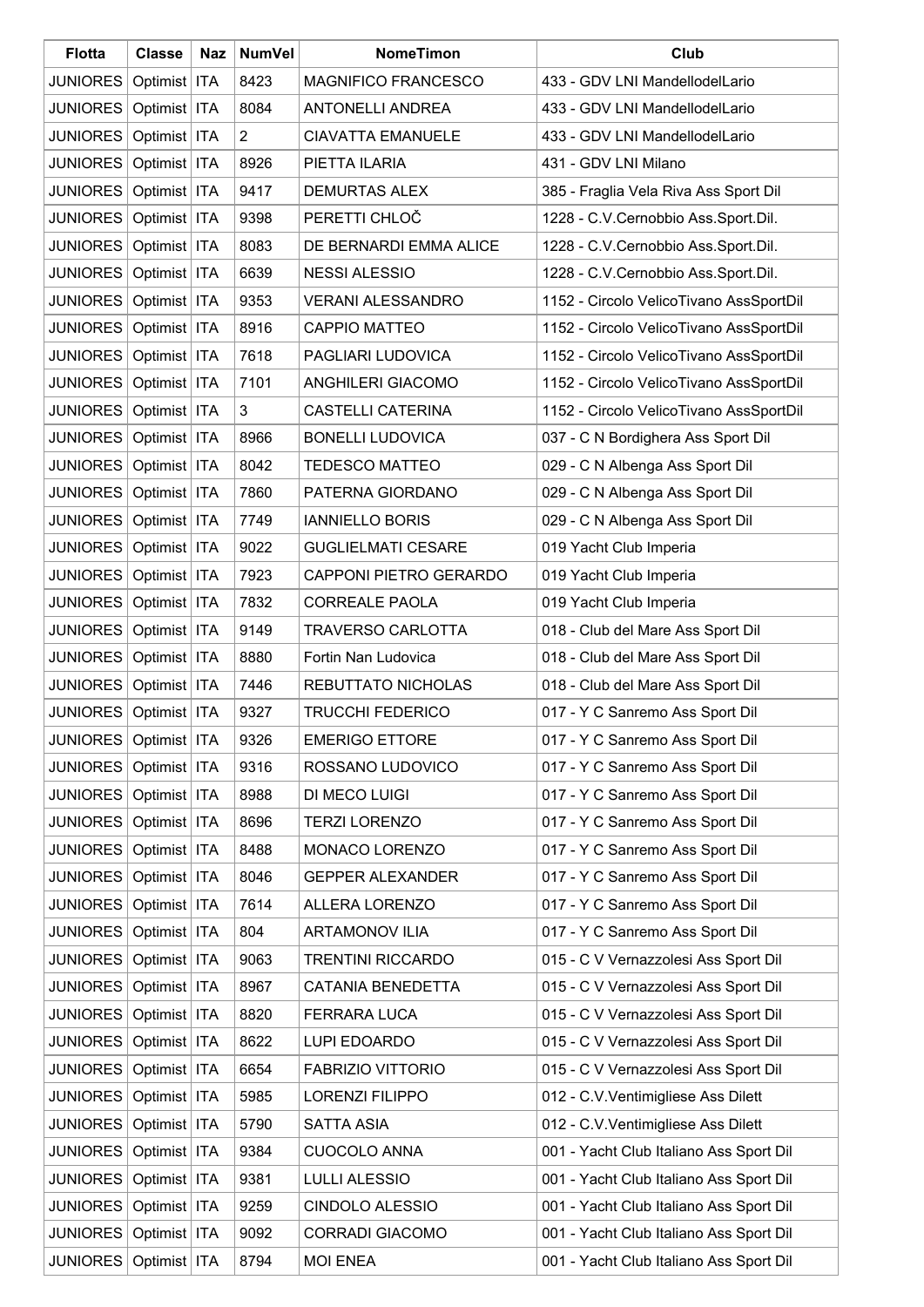| <b>Flotta</b>             | <b>Classe</b>  | Naz        | <b>NumVel</b>  | <b>NomeTimon</b>           | Club                                    |
|---------------------------|----------------|------------|----------------|----------------------------|-----------------------------------------|
| <b>JUNIORES</b>           | Optimist   ITA |            | 8423           | <b>MAGNIFICO FRANCESCO</b> | 433 - GDV LNI MandellodelLario          |
| <b>JUNIORES</b>           | Optimist   ITA |            | 8084           | <b>ANTONELLI ANDREA</b>    | 433 - GDV LNI MandellodelLario          |
| <b>JUNIORES</b>           | Optimist   ITA |            | $\overline{2}$ | <b>CIAVATTA EMANUELE</b>   | 433 - GDV LNI MandellodelLario          |
| <b>JUNIORES</b>           | Optimist   ITA |            | 8926           | PIETTA ILARIA              | 431 - GDV LNI Milano                    |
| <b>JUNIORES</b>           | Optimist   ITA |            | 9417           | <b>DEMURTAS ALEX</b>       | 385 - Fraglia Vela Riva Ass Sport Dil   |
| <b>JUNIORES</b>           | Optimist   ITA |            | 9398           | PERETTI CHLOČ              | 1228 - C.V.Cernobbio Ass.Sport.Dil.     |
| <b>JUNIORES</b>           | Optimist   ITA |            | 8083           | DE BERNARDI EMMA ALICE     | 1228 - C.V.Cernobbio Ass.Sport.Dil.     |
| <b>JUNIORES</b>           | Optimist   ITA |            | 6639           | <b>NESSI ALESSIO</b>       | 1228 - C.V.Cernobbio Ass.Sport.Dil.     |
| <b>JUNIORES</b>           | Optimist   ITA |            | 9353           | <b>VERANI ALESSANDRO</b>   | 1152 - Circolo VelicoTivano AssSportDil |
| <b>JUNIORES</b>           | Optimist   ITA |            | 8916           | <b>CAPPIO MATTEO</b>       | 1152 - Circolo VelicoTivano AssSportDil |
| <b>JUNIORES</b>           | Optimist   ITA |            | 7618           | PAGLIARI LUDOVICA          | 1152 - Circolo VelicoTivano AssSportDil |
| <b>JUNIORES</b>           | Optimist   ITA |            | 7101           | <b>ANGHILERI GIACOMO</b>   | 1152 - Circolo VelicoTivano AssSportDil |
| <b>JUNIORES</b>           | Optimist   ITA |            | 3              | <b>CASTELLI CATERINA</b>   | 1152 - Circolo VelicoTivano AssSportDil |
| <b>JUNIORES</b>           | Optimist   ITA |            | 8966           | <b>BONELLI LUDOVICA</b>    | 037 - C N Bordighera Ass Sport Dil      |
| <b>JUNIORES</b>           | Optimist   ITA |            | 8042           | <b>TEDESCO MATTEO</b>      | 029 - C N Albenga Ass Sport Dil         |
| <b>JUNIORES</b>           | Optimist   ITA |            | 7860           | PATERNA GIORDANO           | 029 - C N Albenga Ass Sport Dil         |
| <b>JUNIORES</b>           | Optimist   ITA |            | 7749           | <b>IANNIELLO BORIS</b>     | 029 - C N Albenga Ass Sport Dil         |
| <b>JUNIORES</b>           | Optimist   ITA |            | 9022           | <b>GUGLIELMATI CESARE</b>  | 019 Yacht Club Imperia                  |
| <b>JUNIORES</b>           | Optimist   ITA |            | 7923           | CAPPONI PIETRO GERARDO     | 019 Yacht Club Imperia                  |
| <b>JUNIORES</b>           | Optimist   ITA |            | 7832           | <b>CORREALE PAOLA</b>      | 019 Yacht Club Imperia                  |
| <b>JUNIORES</b>           | Optimist   ITA |            | 9149           | <b>TRAVERSO CARLOTTA</b>   | 018 - Club del Mare Ass Sport Dil       |
| <b>JUNIORES</b>           | Optimist       | <b>ITA</b> | 8880           | Fortin Nan Ludovica        | 018 - Club del Mare Ass Sport Dil       |
| JUNIORES                  | Optimist       | <b>ITA</b> | 7446           | REBUTTATO NICHOLAS         | 018 - Club del Mare Ass Sport Dil       |
| <b>JUNIORES</b>           | Optimist       | <b>ITA</b> | 9327           | <b>TRUCCHI FEDERICO</b>    | 017 - Y C Sanremo Ass Sport Dil         |
| JUNIORES   Optimist   ITA |                |            | 9326           | <b>EMERIGO ETTORE</b>      | 017 - Y C Sanremo Ass Sport Dil         |
| <b>JUNIORES</b>           | Optimist   ITA |            | 9316           | ROSSANO LUDOVICO           | 017 - Y C Sanremo Ass Sport Dil         |
| <b>JUNIORES</b>           | Optimist   ITA |            | 8988           | DI MECO LUIGI              | 017 - Y C Sanremo Ass Sport Dil         |
| <b>JUNIORES</b>           | Optimist   ITA |            | 8696           | <b>TERZI LORENZO</b>       | 017 - Y C Sanremo Ass Sport Dil         |
| <b>JUNIORES</b>           | Optimist   ITA |            | 8488           | MONACO LORENZO             | 017 - Y C Sanremo Ass Sport Dil         |
| <b>JUNIORES</b>           | Optimist   ITA |            | 8046           | <b>GEPPER ALEXANDER</b>    | 017 - Y C Sanremo Ass Sport Dil         |
| <b>JUNIORES</b>           | Optimist   ITA |            | 7614           | <b>ALLERA LORENZO</b>      | 017 - Y C Sanremo Ass Sport Dil         |
| <b>JUNIORES</b>           | Optimist   ITA |            | 804            | <b>ARTAMONOV ILIA</b>      | 017 - Y C Sanremo Ass Sport Dil         |
| <b>JUNIORES</b>           | Optimist   ITA |            | 9063           | <b>TRENTINI RICCARDO</b>   | 015 - C V Vernazzolesi Ass Sport Dil    |
| <b>JUNIORES</b>           | Optimist   ITA |            | 8967           | CATANIA BENEDETTA          | 015 - C V Vernazzolesi Ass Sport Dil    |
| <b>JUNIORES</b>           | Optimist   ITA |            | 8820           | FERRARA LUCA               | 015 - C V Vernazzolesi Ass Sport Dil    |
| <b>JUNIORES</b>           | Optimist   ITA |            | 8622           | <b>LUPI EDOARDO</b>        | 015 - C V Vernazzolesi Ass Sport Dil    |
| <b>JUNIORES</b>           | Optimist   ITA |            | 6654           | <b>FABRIZIO VITTORIO</b>   | 015 - C V Vernazzolesi Ass Sport Dil    |
| <b>JUNIORES</b>           | Optimist   ITA |            | 5985           | LORENZI FILIPPO            | 012 - C.V.Ventimigliese Ass Dilett      |
| <b>JUNIORES</b>           | Optimist   ITA |            | 5790           | <b>SATTA ASIA</b>          | 012 - C.V.Ventimigliese Ass Dilett      |
| <b>JUNIORES</b>           | Optimist   ITA |            | 9384           | <b>CUOCOLO ANNA</b>        | 001 - Yacht Club Italiano Ass Sport Dil |
| <b>JUNIORES</b>           | Optimist   ITA |            | 9381           | <b>LULLI ALESSIO</b>       | 001 - Yacht Club Italiano Ass Sport Dil |
| <b>JUNIORES</b>           | Optimist   ITA |            | 9259           | CINDOLO ALESSIO            | 001 - Yacht Club Italiano Ass Sport Dil |
| <b>JUNIORES</b>           | Optimist   ITA |            | 9092           | <b>CORRADI GIACOMO</b>     | 001 - Yacht Club Italiano Ass Sport Dil |
| <b>JUNIORES</b>           | Optimist   ITA |            | 8794           | <b>MOI ENEA</b>            | 001 - Yacht Club Italiano Ass Sport Dil |